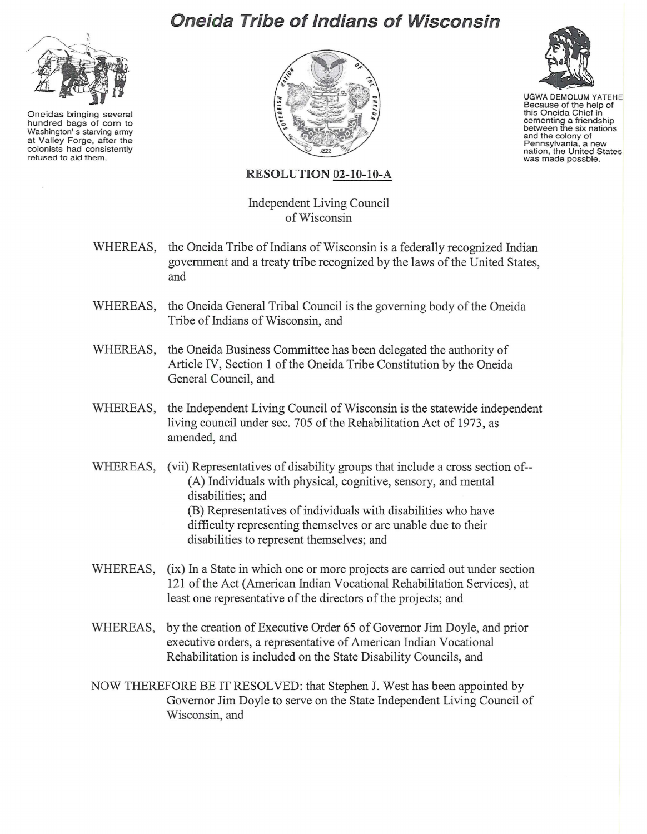## **Oneida Tribe of Indians of Wisconsin**



Oneidas bringing several hundred bags of corn to Washington's starving army at Valley Forge, after the colonists had consistently refused to aid them.





UGWA DEMOLUM YATEHE Because of the help of<br>this Oneida Chief in cementing a friendship<br>between the six nations and the colony of Pennsylvania, a new<br>nation, the United States nation, the United States

## **RESOLUTION 02-10-10-A**

Independent Living Council ofWisconsin

- WHEREAS, the Oneida Tribe of Indians of Wisconsin is a federally recognized Indian government and a treaty tribe recognized by the laws of the United States, and
- WHEREAS, the Oneida General Tribal Council is the governing body of the Oneida Tribe of Indians of Wisconsin, and
- WHEREAS, the Oneida Business Committee has been delegated the authority of Article IV, Section 1 of the Oneida Tribe Constitution by the Oneida General Council, and
- WHEREAS, the Independent Living Council of Wisconsin is the statewide independent living council under sec. 705 of the Rehabilitation Act of 1973, as amended, and
- WHEREAS, (vii) Representatives of disability groups that include a cross section of--(A) Individuals with physical, cognitive, sensory, and mental disabilities; and (B) Representatives of individuals with disabilities who have difficulty representing themselves or are unable due to their disabilities to represent themselves; and
- WHEREAS, (ix) **In**a State in which one or more projects are carried out under section 121 of the Act (American Indian Vocational Rehabilitation Services), at least one representative of the directors of the projects; and
- WHEREAS, by the creation of Executive Order 65 of Governor Jim Doyle, and prior executive orders, a representative of American Indian Vocational Rehabilitation is included on the State Disability Councils, and
- NOW THEREFORE BE IT RESOLVED: that Stephen J. West has been appointed by Governor Jim Doyle to serve on the State Independent Living Council of Wisconsin, and